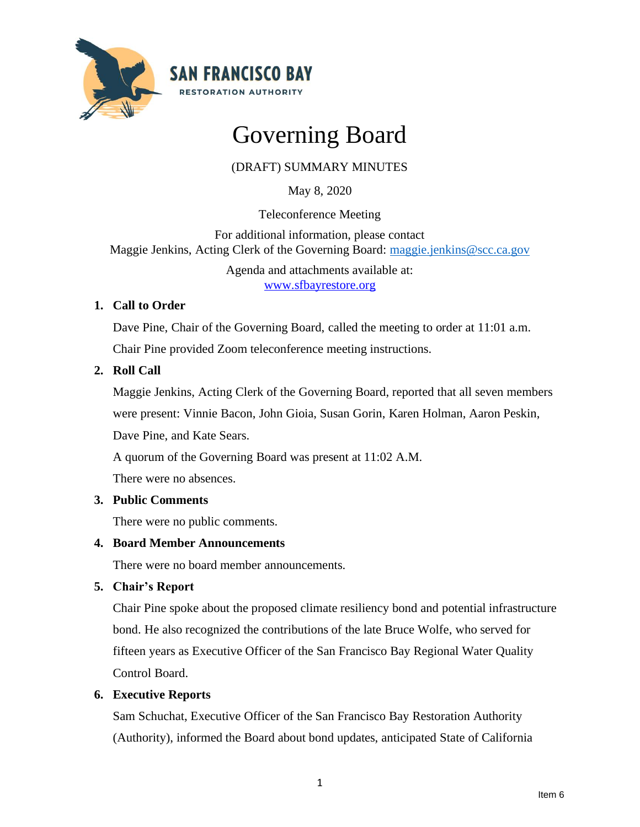

# Governing Board

## (DRAFT) SUMMARY MINUTES

May 8, 2020

Teleconference Meeting

For additional information, please contact Maggie Jenkins, Acting Clerk of the Governing Board: [maggie.jenkins@scc.ca.gov](mailto:maggie.jenkins@scc.ca.gov)

> Agenda and attachments available at: [www.sfbayrestore.org](http://www.sfbayrestore.org/)

## **1. Call to Order**

Dave Pine, Chair of the Governing Board, called the meeting to order at 11:01 a.m.

Chair Pine provided Zoom teleconference meeting instructions.

## **2. Roll Call**

Maggie Jenkins, Acting Clerk of the Governing Board, reported that all seven members were present: Vinnie Bacon, John Gioia, Susan Gorin, Karen Holman, Aaron Peskin, Dave Pine, and Kate Sears.

A quorum of the Governing Board was present at 11:02 A.M.

There were no absences.

## **3. Public Comments**

There were no public comments.

## **4. Board Member Announcements**

There were no board member announcements.

## **5. Chair's Report**

Chair Pine spoke about the proposed climate resiliency bond and potential infrastructure bond. He also recognized the contributions of the late Bruce Wolfe, who served for fifteen years as Executive Officer of the San Francisco Bay Regional Water Quality Control Board.

## **6. Executive Reports**

Sam Schuchat, Executive Officer of the San Francisco Bay Restoration Authority (Authority), informed the Board about bond updates, anticipated State of California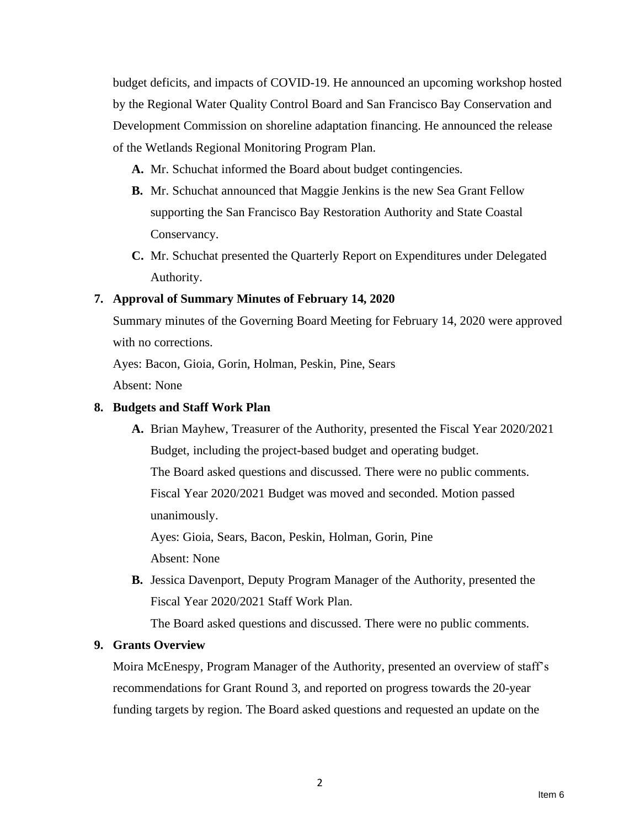budget deficits, and impacts of COVID-19. He announced an upcoming workshop hosted by the Regional Water Quality Control Board and San Francisco Bay Conservation and Development Commission on shoreline adaptation financing. He announced the release of the Wetlands Regional Monitoring Program Plan.

- **A.** Mr. Schuchat informed the Board about budget contingencies.
- **B.** Mr. Schuchat announced that Maggie Jenkins is the new Sea Grant Fellow supporting the San Francisco Bay Restoration Authority and State Coastal Conservancy.
- **C.** Mr. Schuchat presented the Quarterly Report on Expenditures under Delegated Authority.

## **7. Approval of Summary Minutes of February 14, 2020**

Summary minutes of the Governing Board Meeting for February 14, 2020 were approved with no corrections.

Ayes: Bacon, Gioia, Gorin, Holman, Peskin, Pine, Sears

Absent: None

#### **8. Budgets and Staff Work Plan**

**A.** Brian Mayhew, Treasurer of the Authority, presented the Fiscal Year 2020/2021 Budget, including the project-based budget and operating budget. The Board asked questions and discussed. There were no public comments. Fiscal Year 2020/2021 Budget was moved and seconded. Motion passed unanimously.

Ayes: Gioia, Sears, Bacon, Peskin, Holman, Gorin, Pine Absent: None

**B.** Jessica Davenport, Deputy Program Manager of the Authority, presented the Fiscal Year 2020/2021 Staff Work Plan.

The Board asked questions and discussed. There were no public comments.

## **9. Grants Overview**

Moira McEnespy, Program Manager of the Authority, presented an overview of staff's recommendations for Grant Round 3, and reported on progress towards the 20-year funding targets by region. The Board asked questions and requested an update on the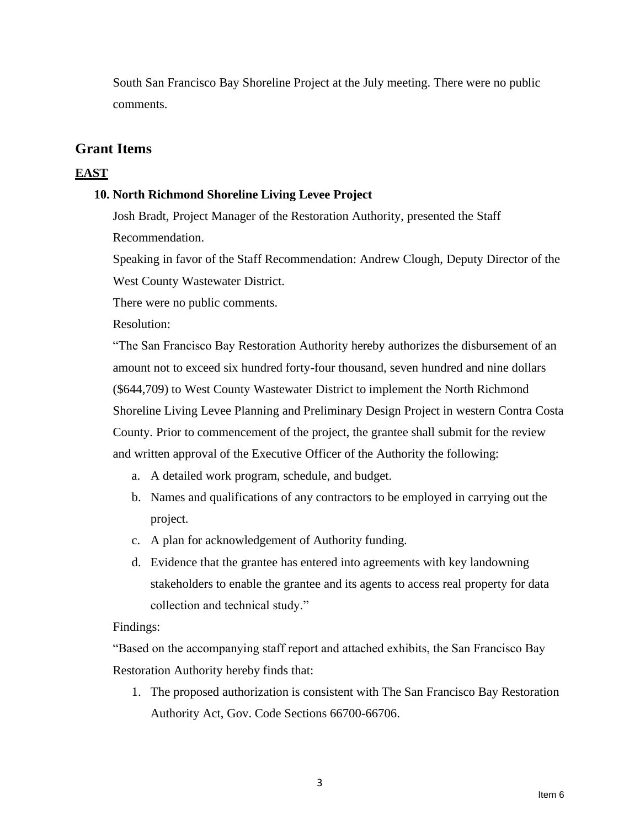South San Francisco Bay Shoreline Project at the July meeting. There were no public comments.

## **Grant Items**

## **EAST**

## **10. North Richmond Shoreline Living Levee Project**

Josh Bradt, Project Manager of the Restoration Authority, presented the Staff Recommendation.

Speaking in favor of the Staff Recommendation: Andrew Clough, Deputy Director of the West County Wastewater District.

There were no public comments.

Resolution:

"The San Francisco Bay Restoration Authority hereby authorizes the disbursement of an amount not to exceed six hundred forty-four thousand, seven hundred and nine dollars (\$644,709) to West County Wastewater District to implement the North Richmond Shoreline Living Levee Planning and Preliminary Design Project in western Contra Costa County. Prior to commencement of the project, the grantee shall submit for the review and written approval of the Executive Officer of the Authority the following:

- a. A detailed work program, schedule, and budget.
- b. Names and qualifications of any contractors to be employed in carrying out the project.
- c. A plan for acknowledgement of Authority funding.
- d. Evidence that the grantee has entered into agreements with key landowning stakeholders to enable the grantee and its agents to access real property for data collection and technical study."

## Findings:

"Based on the accompanying staff report and attached exhibits, the San Francisco Bay Restoration Authority hereby finds that:

1. The proposed authorization is consistent with The San Francisco Bay Restoration Authority Act, Gov. Code Sections 66700-66706.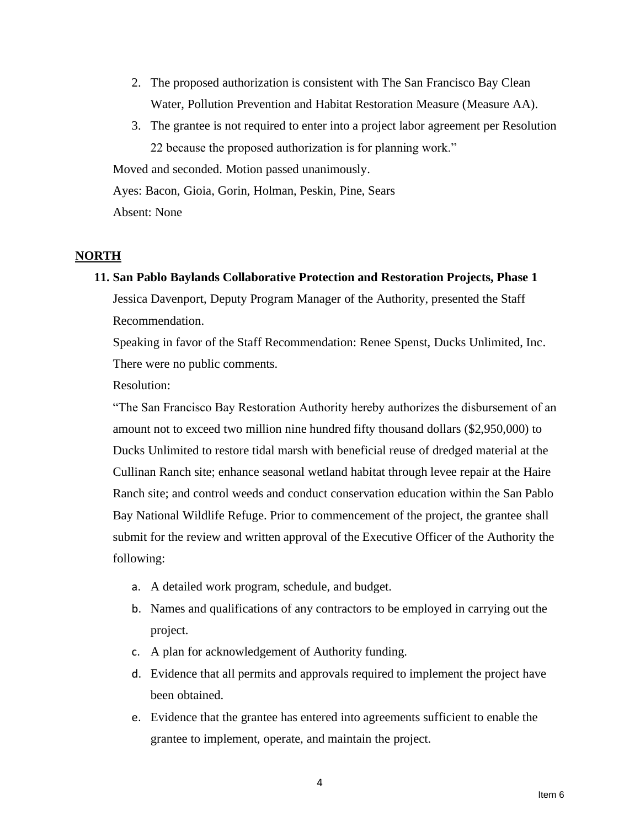- 2. The proposed authorization is consistent with The San Francisco Bay Clean Water, Pollution Prevention and Habitat Restoration Measure (Measure AA).
- 3. The grantee is not required to enter into a project labor agreement per Resolution 22 because the proposed authorization is for planning work."

Moved and seconded. Motion passed unanimously.

Ayes: Bacon, Gioia, Gorin, Holman, Peskin, Pine, Sears

Absent: None

## **NORTH**

**11. San Pablo Baylands Collaborative Protection and Restoration Projects, Phase 1** Jessica Davenport, Deputy Program Manager of the Authority, presented the Staff

Recommendation.

Speaking in favor of the Staff Recommendation: Renee Spenst, Ducks Unlimited, Inc. There were no public comments.

Resolution:

"The San Francisco Bay Restoration Authority hereby authorizes the disbursement of an amount not to exceed two million nine hundred fifty thousand dollars (\$2,950,000) to Ducks Unlimited to restore tidal marsh with beneficial reuse of dredged material at the Cullinan Ranch site; enhance seasonal wetland habitat through levee repair at the Haire Ranch site; and control weeds and conduct conservation education within the San Pablo Bay National Wildlife Refuge. Prior to commencement of the project, the grantee shall submit for the review and written approval of the Executive Officer of the Authority the following:

- a. A detailed work program, schedule, and budget.
- b. Names and qualifications of any contractors to be employed in carrying out the project.
- c. A plan for acknowledgement of Authority funding.
- d. Evidence that all permits and approvals required to implement the project have been obtained.
- e. Evidence that the grantee has entered into agreements sufficient to enable the grantee to implement, operate, and maintain the project.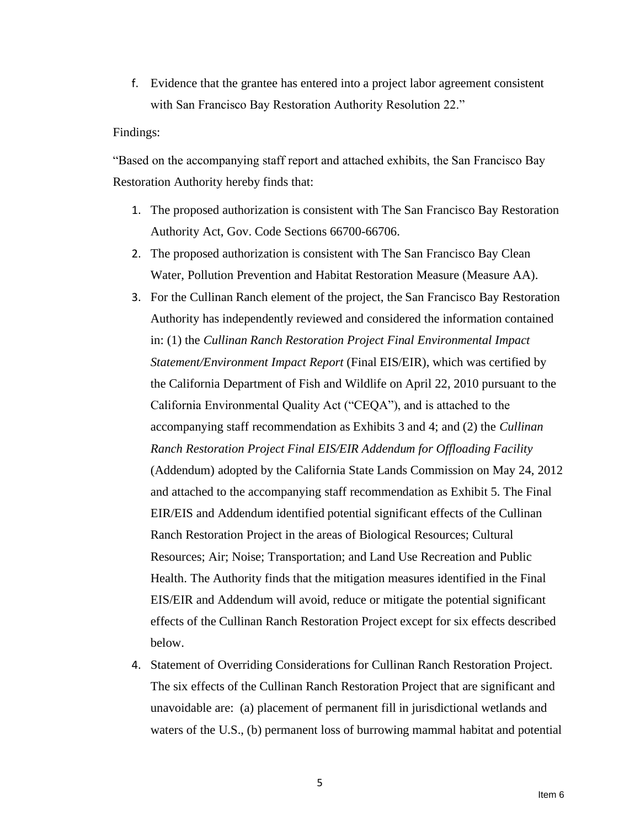f. Evidence that the grantee has entered into a project labor agreement consistent with San Francisco Bay Restoration Authority Resolution 22."

#### Findings:

"Based on the accompanying staff report and attached exhibits, the San Francisco Bay Restoration Authority hereby finds that:

- 1. The proposed authorization is consistent with The San Francisco Bay Restoration Authority Act, Gov. Code Sections 66700-66706.
- 2. The proposed authorization is consistent with The San Francisco Bay Clean Water, Pollution Prevention and Habitat Restoration Measure (Measure AA).
- 3. For the Cullinan Ranch element of the project, the San Francisco Bay Restoration Authority has independently reviewed and considered the information contained in: (1) the *Cullinan Ranch Restoration Project Final Environmental Impact Statement/Environment Impact Report* (Final EIS/EIR), which was certified by the California Department of Fish and Wildlife on April 22, 2010 pursuant to the California Environmental Quality Act ("CEQA"), and is attached to the accompanying staff recommendation as Exhibits 3 and 4; and (2) the *Cullinan Ranch Restoration Project Final EIS/EIR Addendum for Offloading Facility* (Addendum) adopted by the California State Lands Commission on May 24, 2012 and attached to the accompanying staff recommendation as Exhibit 5. The Final EIR/EIS and Addendum identified potential significant effects of the Cullinan Ranch Restoration Project in the areas of Biological Resources; Cultural Resources; Air; Noise; Transportation; and Land Use Recreation and Public Health. The Authority finds that the mitigation measures identified in the Final EIS/EIR and Addendum will avoid, reduce or mitigate the potential significant effects of the Cullinan Ranch Restoration Project except for six effects described below.
- 4. Statement of Overriding Considerations for Cullinan Ranch Restoration Project. The six effects of the Cullinan Ranch Restoration Project that are significant and unavoidable are: (a) placement of permanent fill in jurisdictional wetlands and waters of the U.S., (b) permanent loss of burrowing mammal habitat and potential

5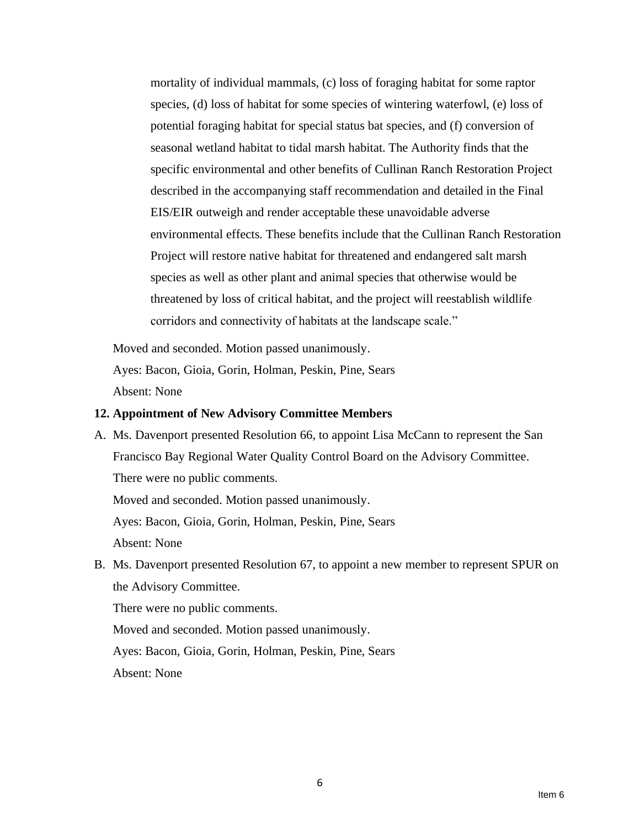mortality of individual mammals, (c) loss of foraging habitat for some raptor species, (d) loss of habitat for some species of wintering waterfowl, (e) loss of potential foraging habitat for special status bat species, and (f) conversion of seasonal wetland habitat to tidal marsh habitat. The Authority finds that the specific environmental and other benefits of Cullinan Ranch Restoration Project described in the accompanying staff recommendation and detailed in the Final EIS/EIR outweigh and render acceptable these unavoidable adverse environmental effects. These benefits include that the Cullinan Ranch Restoration Project will restore native habitat for threatened and endangered salt marsh species as well as other plant and animal species that otherwise would be threatened by loss of critical habitat, and the project will reestablish wildlife corridors and connectivity of habitats at the landscape scale."

Moved and seconded. Motion passed unanimously. Ayes: Bacon, Gioia, Gorin, Holman, Peskin, Pine, Sears

Absent: None

#### **12. Appointment of New Advisory Committee Members**

A. Ms. Davenport presented Resolution 66, to appoint Lisa McCann to represent the San Francisco Bay Regional Water Quality Control Board on the Advisory Committee. There were no public comments.

Moved and seconded. Motion passed unanimously.

Ayes: Bacon, Gioia, Gorin, Holman, Peskin, Pine, Sears

Absent: None

B. Ms. Davenport presented Resolution 67, to appoint a new member to represent SPUR on the Advisory Committee.

There were no public comments.

Moved and seconded. Motion passed unanimously.

Ayes: Bacon, Gioia, Gorin, Holman, Peskin, Pine, Sears

Absent: None